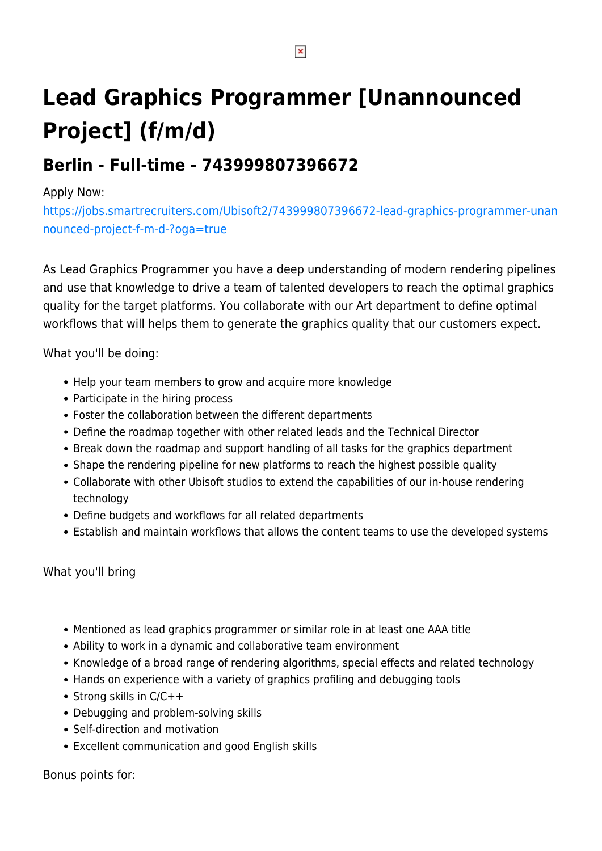## **Lead Graphics Programmer [Unannounced Project] (f/m/d)**

## **Berlin - Full-time - 743999807396672**

## Apply Now:

[https://jobs.smartrecruiters.com/Ubisoft2/743999807396672-lead-graphics-programmer-unan](https://jobs.smartrecruiters.com/Ubisoft2/743999807396672-lead-graphics-programmer-unannounced-project-f-m-d-?oga=true) [nounced-project-f-m-d-?oga=true](https://jobs.smartrecruiters.com/Ubisoft2/743999807396672-lead-graphics-programmer-unannounced-project-f-m-d-?oga=true)

As Lead Graphics Programmer you have a deep understanding of modern rendering pipelines and use that knowledge to drive a team of talented developers to reach the optimal graphics quality for the target platforms. You collaborate with our Art department to define optimal workflows that will helps them to generate the graphics quality that our customers expect.

What you'll be doing:

- Help your team members to grow and acquire more knowledge
- Participate in the hiring process
- Foster the collaboration between the different departments
- Define the roadmap together with other related leads and the Technical Director
- Break down the roadmap and support handling of all tasks for the graphics department
- Shape the rendering pipeline for new platforms to reach the highest possible quality
- Collaborate with other Ubisoft studios to extend the capabilities of our in-house rendering technology
- Define budgets and workflows for all related departments
- Establish and maintain workflows that allows the content teams to use the developed systems

## What you'll bring

- Mentioned as lead graphics programmer or similar role in at least one AAA title
- Ability to work in a dynamic and collaborative team environment
- Knowledge of a broad range of rendering algorithms, special effects and related technology
- Hands on experience with a variety of graphics profiling and debugging tools
- Strong skills in  $C/C++$
- Debugging and problem-solving skills
- Self-direction and motivation
- Excellent communication and good English skills

Bonus points for: